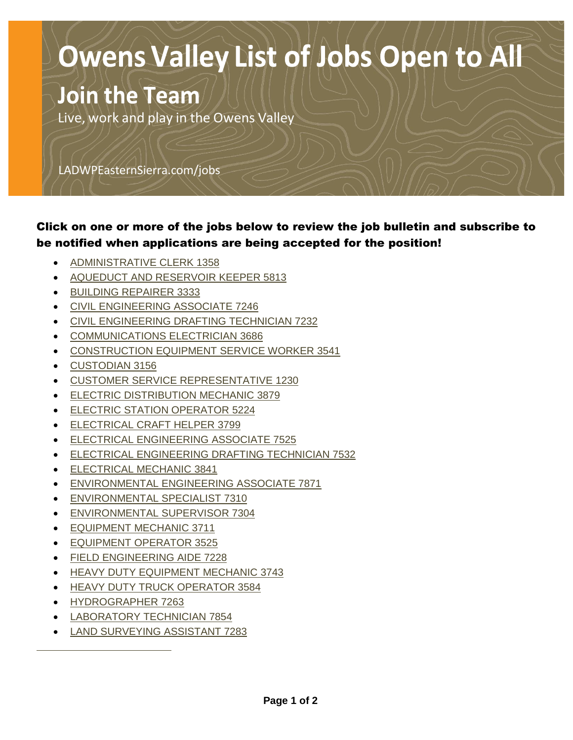## **Owens Valley List of Jobs Open to All**

## **Join the Team**

Live, work and play in the Owens Valley

LADWPEasternSierra.com/jobs

#### Click on one or more of the jobs below to review the job bulletin and subscribe to be notified when applications are being accepted for the position!

- [ADMINISTRATIVE CLERK 1358](https://www.governmentjobs.com/careers/lacity/classspecs/741579)
- [AQUEDUCT AND RESERVOIR KEEPER 5813](https://www.governmentjobs.com/careers/lacity/classspecs/740958)
- [BUILDING REPAIRER 3333](https://www.governmentjobs.com/careers/lacity/classspecs/741503)
- [CIVIL ENGINEERING ASSOCIATE 7246](https://www.governmentjobs.com/careers/lacity/classspecs/741206)
- [CIVIL ENGINEERING DRAFTING TECHNICIAN 7232](https://www.governmentjobs.com/careers/lacity/classspecs/741200)
- [COMMUNICATIONS ELECTRICIAN](https://www.governmentjobs.com/careers/lacity/classspecs/741172) 3686
- [CONSTRUCTION EQUIPMENT SERVICE WORKER](https://www.governmentjobs.com/careers/lacity/classspecs/741552) 3541
- [CUSTODIAN 3156](https://www.governmentjobs.com/careers/lacity/classspecs/741640)
- [CUSTOMER SERVICE REPRESENTATIVE](https://www.governmentjobs.com/careers/lacity/classspecs/741570) 1230
- **[ELECTRIC DISTRIBUTION MECHANIC](https://www.governmentjobs.com/careers/lacity/classspecs/876526) 3879**
- [ELECTRIC STATION OPERATOR](https://www.governmentjobs.com/careers/lacity/classspecs/740943) 5224
- [ELECTRICAL CRAFT HELPER](https://www.governmentjobs.com/careers/lacity/classspecs/741022) 3799
- [ELECTRICAL ENGINEERING](https://www.governmentjobs.com/careers/lacity/classspecs/741240) ASSOCIATE 7525
- [ELECTRICAL ENGINEERING DRAFTING TECHNICIAN 7532](https://www.governmentjobs.com/careers/lacity/classspecs/741243)
- [ELECTRICAL MECHANIC](https://www.governmentjobs.com/careers/lacity/classspecs/741045) 3841
- [ENVIRONMENTAL ENGINEERING ASSOCIATE 7871](https://www.governmentjobs.com/careers/lacity/classspecs/741091)
- [ENVIRONMENTAL SPECIALIST 7310](https://www.governmentjobs.com/careers/lacity/classspecs/741233)
- [ENVIRONMENTAL SUPERVISOR 7304](https://www.governmentjobs.com/careers/lacity/classspecs/741231)
- [EQUIPMENT MECHANIC](https://www.governmentjobs.com/careers/lacity/classspecs/741179) 3711
- [EQUIPMENT OPERATOR 3525](https://www.governmentjobs.com/careers/lacity/classspecs/741543)
- [FIELD ENGINEERING AIDE 7228](https://www.governmentjobs.com/careers/lacity/classspecs/741197)
- [HEAVY DUTY EQUIPMENT MECHANIC](https://www.governmentjobs.com/careers/lacity/classspecs/740994) 3743
- [HEAVY DUTY TRUCK OPERATOR 3584](https://www.governmentjobs.com/careers/lacity/classspecs/741165)
- [HYDROGRAPHER 7263](https://www.governmentjobs.com/careers/lacity/classspecs/741213)
- [LABORATORY TECHNICIAN](https://www.governmentjobs.com/careers/lacity/classspecs/741087) 7854
- [LAND SURVEYING ASSISTANT 7283](https://www.governmentjobs.com/careers/lacity/classspecs/741383)